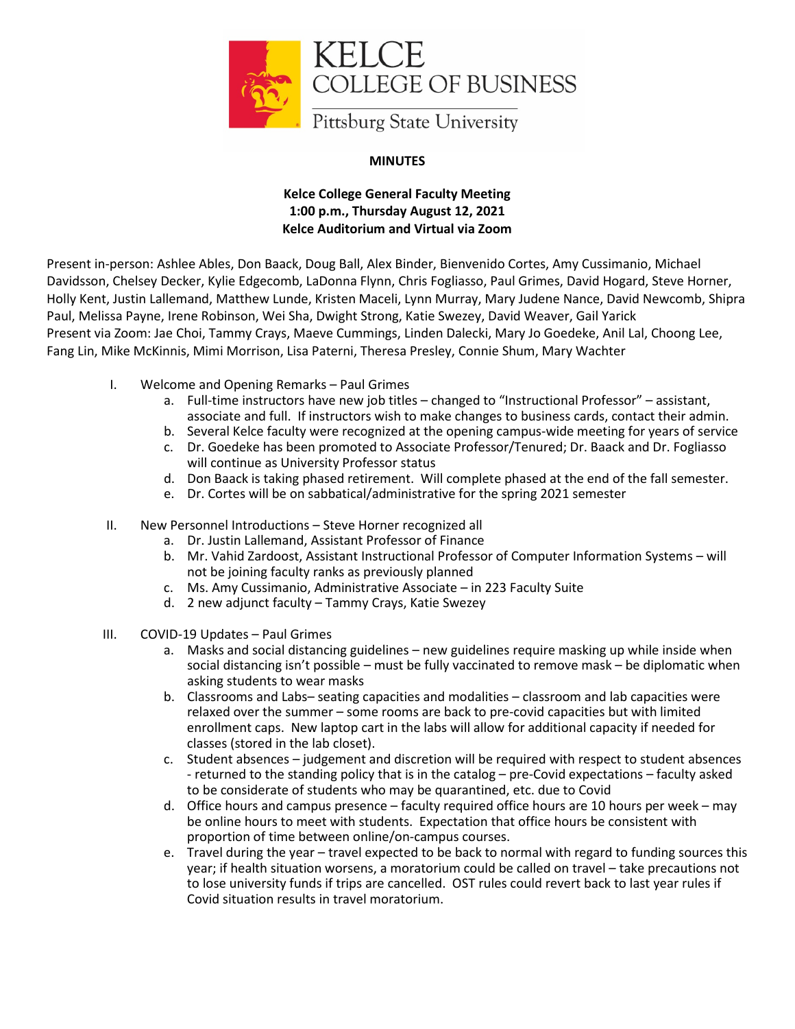

## **MINUTES**

## **Kelce College General Faculty Meeting 1:00 p.m., Thursday August 12, 2021 Kelce Auditorium and Virtual via Zoom**

Present in-person: Ashlee Ables, Don Baack, Doug Ball, Alex Binder, Bienvenido Cortes, Amy Cussimanio, Michael Davidsson, Chelsey Decker, Kylie Edgecomb, LaDonna Flynn, Chris Fogliasso, Paul Grimes, David Hogard, Steve Horner, Holly Kent, Justin Lallemand, Matthew Lunde, Kristen Maceli, Lynn Murray, Mary Judene Nance, David Newcomb, Shipra Paul, Melissa Payne, Irene Robinson, Wei Sha, Dwight Strong, Katie Swezey, David Weaver, Gail Yarick Present via Zoom: Jae Choi, Tammy Crays, Maeve Cummings, Linden Dalecki, Mary Jo Goedeke, Anil Lal, Choong Lee, Fang Lin, Mike McKinnis, Mimi Morrison, Lisa Paterni, Theresa Presley, Connie Shum, Mary Wachter

- I. Welcome and Opening Remarks Paul Grimes
	- a. Full-time instructors have new job titles changed to "Instructional Professor" assistant, associate and full. If instructors wish to make changes to business cards, contact their admin.
	- b. Several Kelce faculty were recognized at the opening campus-wide meeting for years of service
	- c. Dr. Goedeke has been promoted to Associate Professor/Tenured; Dr. Baack and Dr. Fogliasso will continue as University Professor status
	- d. Don Baack is taking phased retirement. Will complete phased at the end of the fall semester.
	- e. Dr. Cortes will be on sabbatical/administrative for the spring 2021 semester
- II. New Personnel Introductions Steve Horner recognized all
	- a. Dr. Justin Lallemand, Assistant Professor of Finance
	- b. Mr. Vahid Zardoost, Assistant Instructional Professor of Computer Information Systems will not be joining faculty ranks as previously planned
	- c. Ms. Amy Cussimanio, Administrative Associate in 223 Faculty Suite
	- d. 2 new adjunct faculty Tammy Crays, Katie Swezey
- III. COVID-19 Updates Paul Grimes
	- a. Masks and social distancing guidelines new guidelines require masking up while inside when social distancing isn't possible – must be fully vaccinated to remove mask – be diplomatic when asking students to wear masks
	- b. Classrooms and Labs– seating capacities and modalities classroom and lab capacities were relaxed over the summer – some rooms are back to pre-covid capacities but with limited enrollment caps. New laptop cart in the labs will allow for additional capacity if needed for classes (stored in the lab closet).
	- c. Student absences judgement and discretion will be required with respect to student absences - returned to the standing policy that is in the catalog – pre-Covid expectations – faculty asked to be considerate of students who may be quarantined, etc. due to Covid
	- d. Office hours and campus presence faculty required office hours are 10 hours per week may be online hours to meet with students. Expectation that office hours be consistent with proportion of time between online/on-campus courses.
	- e. Travel during the year travel expected to be back to normal with regard to funding sources this year; if health situation worsens, a moratorium could be called on travel – take precautions not to lose university funds if trips are cancelled. OST rules could revert back to last year rules if Covid situation results in travel moratorium.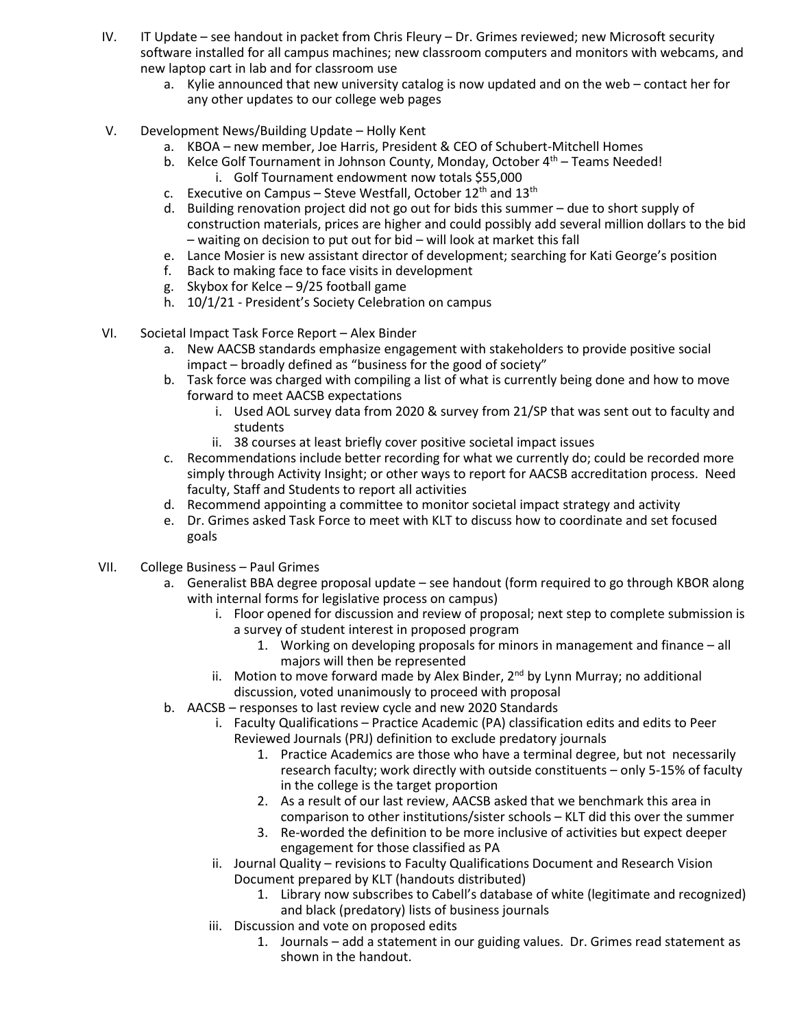- IV. IT Update see handout in packet from Chris Fleury Dr. Grimes reviewed; new Microsoft security software installed for all campus machines; new classroom computers and monitors with webcams, and new laptop cart in lab and for classroom use
	- a. Kylie announced that new university catalog is now updated and on the web contact her for any other updates to our college web pages
- V. Development News/Building Update Holly Kent
	- a. KBOA new member, Joe Harris, President & CEO of Schubert-Mitchell Homes
	- b. Kelce Golf Tournament in Johnson County, Monday, October  $4<sup>th</sup>$  Teams Needed! i. Golf Tournament endowment now totals \$55,000
	- c. Executive on Campus Steve Westfall, October  $12^{th}$  and  $13^{th}$
	- d. Building renovation project did not go out for bids this summer due to short supply of construction materials, prices are higher and could possibly add several million dollars to the bid – waiting on decision to put out for bid – will look at market this fall
	- e. Lance Mosier is new assistant director of development; searching for Kati George's position
	- f. Back to making face to face visits in development
	- g. Skybox for Kelce 9/25 football game
	- h. 10/1/21 President's Society Celebration on campus
- VI. Societal Impact Task Force Report Alex Binder
	- a. New AACSB standards emphasize engagement with stakeholders to provide positive social impact – broadly defined as "business for the good of society"
	- b. Task force was charged with compiling a list of what is currently being done and how to move forward to meet AACSB expectations
		- i. Used AOL survey data from 2020 & survey from 21/SP that was sent out to faculty and students
		- ii. 38 courses at least briefly cover positive societal impact issues
	- c. Recommendations include better recording for what we currently do; could be recorded more simply through Activity Insight; or other ways to report for AACSB accreditation process. Need faculty, Staff and Students to report all activities
	- d. Recommend appointing a committee to monitor societal impact strategy and activity
	- e. Dr. Grimes asked Task Force to meet with KLT to discuss how to coordinate and set focused goals
- VII. College Business Paul Grimes
	- a. Generalist BBA degree proposal update see handout (form required to go through KBOR along with internal forms for legislative process on campus)
		- i. Floor opened for discussion and review of proposal; next step to complete submission is a survey of student interest in proposed program
			- 1. Working on developing proposals for minors in management and finance all majors will then be represented
		- ii. Motion to move forward made by Alex Binder,  $2<sup>nd</sup>$  by Lynn Murray; no additional discussion, voted unanimously to proceed with proposal
	- b. AACSB responses to last review cycle and new 2020 Standards
		- i. Faculty Qualifications Practice Academic (PA) classification edits and edits to Peer Reviewed Journals (PRJ) definition to exclude predatory journals
			- 1. Practice Academics are those who have a terminal degree, but not necessarily research faculty; work directly with outside constituents – only 5-15% of faculty in the college is the target proportion
			- 2. As a result of our last review, AACSB asked that we benchmark this area in comparison to other institutions/sister schools – KLT did this over the summer
			- 3. Re-worded the definition to be more inclusive of activities but expect deeper engagement for those classified as PA
		- ii. Journal Quality revisions to Faculty Qualifications Document and Research Vision Document prepared by KLT (handouts distributed)
			- 1. Library now subscribes to Cabell's database of white (legitimate and recognized) and black (predatory) lists of business journals
		- iii. Discussion and vote on proposed edits
			- 1. Journals add a statement in our guiding values. Dr. Grimes read statement as shown in the handout.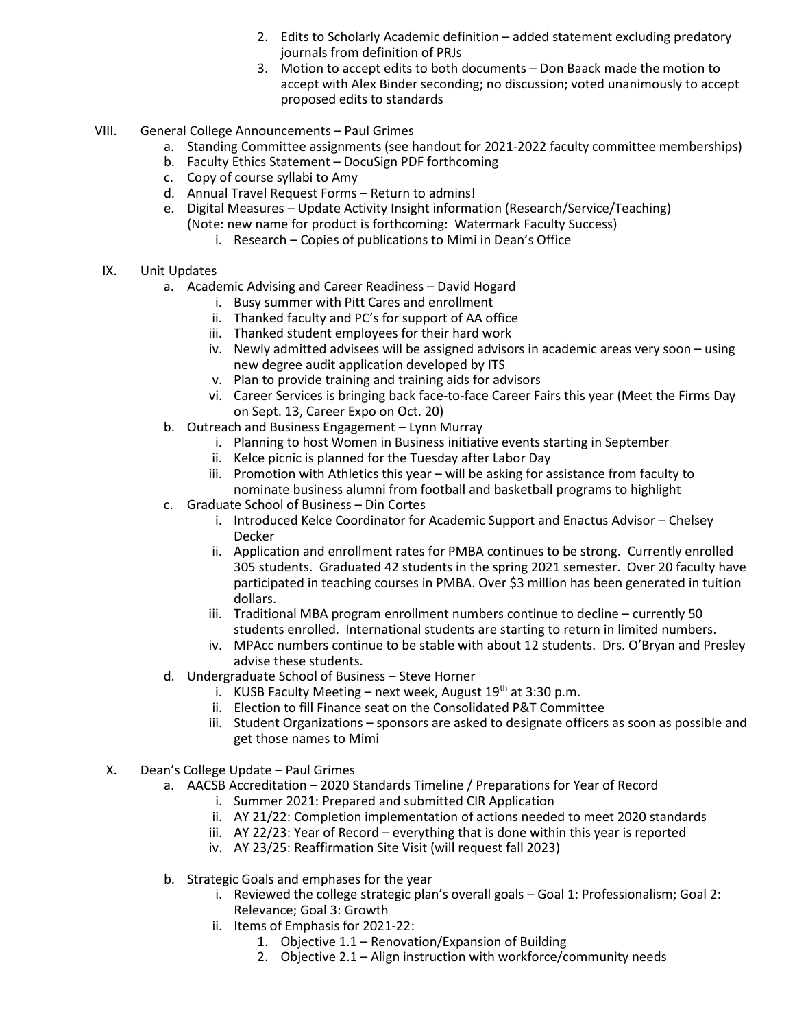- 2. Edits to Scholarly Academic definition added statement excluding predatory journals from definition of PRJs
- 3. Motion to accept edits to both documents Don Baack made the motion to accept with Alex Binder seconding; no discussion; voted unanimously to accept proposed edits to standards
- VIII. General College Announcements Paul Grimes
	- a. Standing Committee assignments (see handout for 2021-2022 faculty committee memberships)
	- b. Faculty Ethics Statement DocuSign PDF forthcoming
	- c. Copy of course syllabi to Amy
	- d. Annual Travel Request Forms Return to admins!
	- e. Digital Measures Update Activity Insight information (Research/Service/Teaching) (Note: new name for product is forthcoming: Watermark Faculty Success)
		- i. Research Copies of publications to Mimi in Dean's Office
- IX. Unit Updates
	- a. Academic Advising and Career Readiness David Hogard
		- i. Busy summer with Pitt Cares and enrollment
		- ii. Thanked faculty and PC's for support of AA office
		- iii. Thanked student employees for their hard work
		- iv. Newly admitted advisees will be assigned advisors in academic areas very soon using new degree audit application developed by ITS
		- v. Plan to provide training and training aids for advisors
		- vi. Career Services is bringing back face-to-face Career Fairs this year (Meet the Firms Day on Sept. 13, Career Expo on Oct. 20)
	- b. Outreach and Business Engagement Lynn Murray
		- i. Planning to host Women in Business initiative events starting in September
		- ii. Kelce picnic is planned for the Tuesday after Labor Day
		- iii. Promotion with Athletics this year will be asking for assistance from faculty to nominate business alumni from football and basketball programs to highlight
	- c. Graduate School of Business Din Cortes
		- i. Introduced Kelce Coordinator for Academic Support and Enactus Advisor Chelsey Decker
		- ii. Application and enrollment rates for PMBA continues to be strong. Currently enrolled 305 students. Graduated 42 students in the spring 2021 semester. Over 20 faculty have participated in teaching courses in PMBA. Over \$3 million has been generated in tuition dollars.
		- iii. Traditional MBA program enrollment numbers continue to decline currently 50 students enrolled. International students are starting to return in limited numbers.
		- iv. MPAcc numbers continue to be stable with about 12 students. Drs. O'Bryan and Presley advise these students.
	- d. Undergraduate School of Business Steve Horner
		- i. KUSB Faculty Meeting next week, August  $19<sup>th</sup>$  at 3:30 p.m.
		- ii. Election to fill Finance seat on the Consolidated P&T Committee
		- iii. Student Organizations sponsors are asked to designate officers as soon as possible and get those names to Mimi
- X. Dean's College Update Paul Grimes
	- a. AACSB Accreditation 2020 Standards Timeline / Preparations for Year of Record
		- i. Summer 2021: Prepared and submitted CIR Application
		- ii. AY 21/22: Completion implementation of actions needed to meet 2020 standards
		- iii. AY 22/23: Year of Record everything that is done within this year is reported
		- iv. AY 23/25: Reaffirmation Site Visit (will request fall 2023)
	- b. Strategic Goals and emphases for the year
		- i. Reviewed the college strategic plan's overall goals Goal 1: Professionalism; Goal 2: Relevance; Goal 3: Growth
		- ii. Items of Emphasis for 2021-22:
			- 1. Objective 1.1 Renovation/Expansion of Building
			- 2. Objective 2.1 Align instruction with workforce/community needs